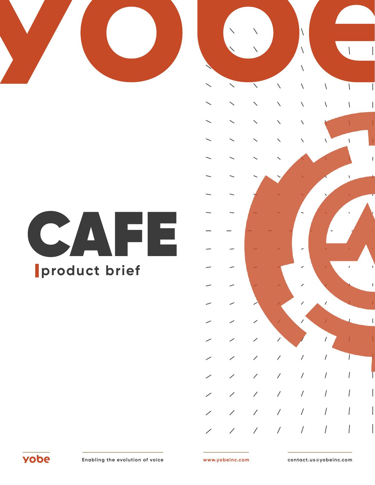



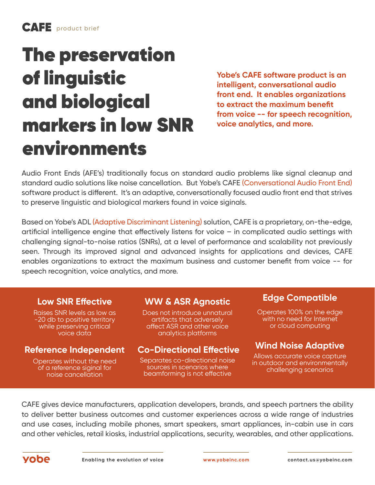# The preservation of linguistic and biological markers in low SNR environments

**Yobe's CAFE software product is an intelligent, conversational audio front end. It enables organizations to extract the maximum benefit from voice -- for speech recognition, voice analytics, and more.** 

Audio Front Ends (AFE's) traditionally focus on standard audio problems like signal cleanup and standard audio solutions like noise cancellation. But Yobe's CAFE (Conversational Audio Front End) software product is different. It's an adaptive, conversationally focused audio front end that strives to preserve linguistic and biological markers found in voice siginals.

Based on Yobe's ADL (Adaptive Discriminant Listening) solution, CAFE is a proprietary, on-the-edge, artificial intelligence engine that effectively listens for voice – in complicated audio settings with challenging signal-to-noise ratios (SNRs), at a level of performance and scalability not previously seen. Through its improved signal and advanced insights for applications and devices, CAFE enables organizations to extract the maximum business and customer benefit from voice -- for speech recognition, voice analytics, and more.

Raises SNR levels as low as -20 db to positive territory while preserving critical voice data

Operates without the need of a reference siginal for noise cancellation

Does not introduce unnatural artifacts that adversely affect ASR and other voice analytics platforms

## **Reference Independent Co-Directional Effective Wind Noise Adaptive**

Separates co-directional noise sources in scenarios where beamforming is not effective

## **Low SNR Effective WW & ASR Agnostic Edge Compatible**

Operates 100% on the edge with no need for Internet or cloud computing

Allows accurate voice capture in outdoor and environmentally challenging scenarios

CAFE gives device manufacturers, application developers, brands, and speech partners the ability to deliver better business outcomes and customer experiences across a wide range of industries and use cases, including mobile phones, smart speakers, smart appliances, in-cabin use in cars and other vehicles, retail kiosks, industrial applications, security, wearables, and other applications.